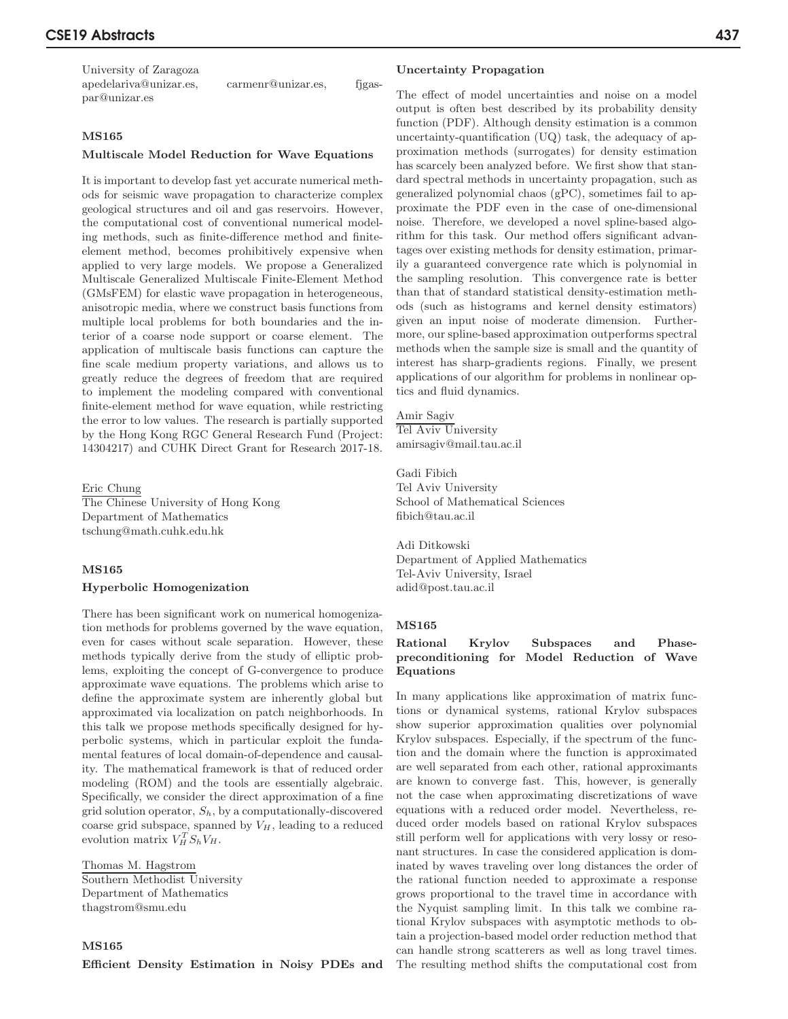University of Zaragoza apedelariva@unizar.es, carmenr@unizar.es, fjgaspar@unizar.es

### MS165

#### Multiscale Model Reduction for Wave Equations

It is important to develop fast yet accurate numerical methods for seismic wave propagation to characterize complex geological structures and oil and gas reservoirs. However, the computational cost of conventional numerical modeling methods, such as finite-difference method and finiteelement method, becomes prohibitively expensive when applied to very large models. We propose a Generalized Multiscale Generalized Multiscale Finite-Element Method (GMsFEM) for elastic wave propagation in heterogeneous, anisotropic media, where we construct basis functions from multiple local problems for both boundaries and the interior of a coarse node support or coarse element. The application of multiscale basis functions can capture the fine scale medium property variations, and allows us to greatly reduce the degrees of freedom that are required to implement the modeling compared with conventional finite-element method for wave equation, while restricting the error to low values. The research is partially supported by the Hong Kong RGC General Research Fund (Project: 14304217) and CUHK Direct Grant for Research 2017-18.

# Eric Chung

The Chinese University of Hong Kong Department of Mathematics tschung@math.cuhk.edu.hk

### MS165

#### Hyperbolic Homogenization

There has been significant work on numerical homogenization methods for problems governed by the wave equation, even for cases without scale separation. However, these methods typically derive from the study of elliptic problems, exploiting the concept of G-convergence to produce approximate wave equations. The problems which arise to define the approximate system are inherently global but approximated via localization on patch neighborhoods. In this talk we propose methods specifically designed for hyperbolic systems, which in particular exploit the fundamental features of local domain-of-dependence and causality. The mathematical framework is that of reduced order modeling (ROM) and the tools are essentially algebraic. Specifically, we consider the direct approximation of a fine grid solution operator,  $S_h$ , by a computationally-discovered coarse grid subspace, spanned by  $V_H$ , leading to a reduced evolution matrix  $V_H^T S_h V_H$ .

Thomas M. Hagstrom Southern Methodist University Department of Mathematics thagstrom@smu.edu

### MS165

Efficient Density Estimation in Noisy PDEs and

#### Uncertainty Propagation

The effect of model uncertainties and noise on a model output is often best described by its probability density function (PDF). Although density estimation is a common uncertainty-quantification (UQ) task, the adequacy of approximation methods (surrogates) for density estimation has scarcely been analyzed before. We first show that standard spectral methods in uncertainty propagation, such as generalized polynomial chaos (gPC), sometimes fail to approximate the PDF even in the case of one-dimensional noise. Therefore, we developed a novel spline-based algorithm for this task. Our method offers significant advantages over existing methods for density estimation, primarily a guaranteed convergence rate which is polynomial in the sampling resolution. This convergence rate is better than that of standard statistical density-estimation methods (such as histograms and kernel density estimators) given an input noise of moderate dimension. Furthermore, our spline-based approximation outperforms spectral methods when the sample size is small and the quantity of interest has sharp-gradients regions. Finally, we present applications of our algorithm for problems in nonlinear optics and fluid dynamics.

## Amir Sagiv

Tel Aviv University amirsagiv@mail.tau.ac.il

Gadi Fibich Tel Aviv University School of Mathematical Sciences fibich@tau.ac.il

Adi Ditkowski Department of Applied Mathematics Tel-Aviv University, Israel adid@post.tau.ac.il

### MS165

## Rational Krylov Subspaces and Phasepreconditioning for Model Reduction of Wave Equations

In many applications like approximation of matrix functions or dynamical systems, rational Krylov subspaces show superior approximation qualities over polynomial Krylov subspaces. Especially, if the spectrum of the function and the domain where the function is approximated are well separated from each other, rational approximants are known to converge fast. This, however, is generally not the case when approximating discretizations of wave equations with a reduced order model. Nevertheless, reduced order models based on rational Krylov subspaces still perform well for applications with very lossy or resonant structures. In case the considered application is dominated by waves traveling over long distances the order of the rational function needed to approximate a response grows proportional to the travel time in accordance with the Nyquist sampling limit. In this talk we combine rational Krylov subspaces with asymptotic methods to obtain a projection-based model order reduction method that can handle strong scatterers as well as long travel times. The resulting method shifts the computational cost from